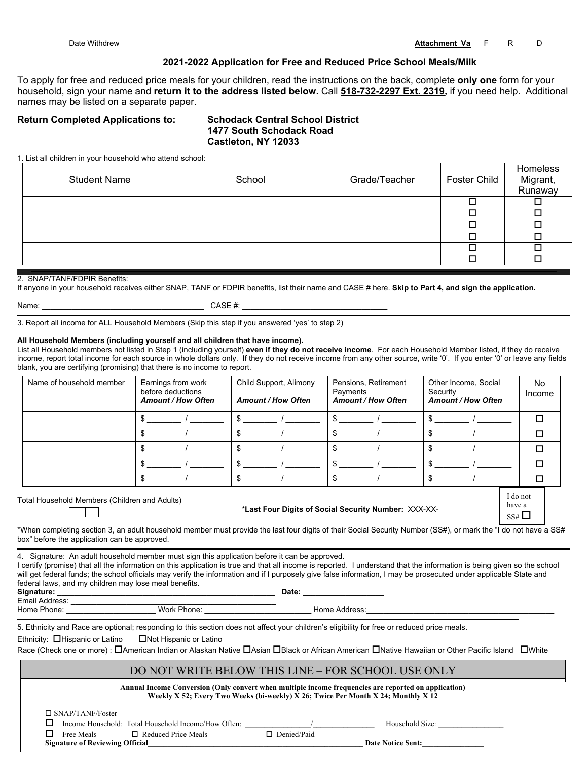Date Withdrew\_\_\_\_\_\_\_\_\_\_ **Attachment Va** F \_\_\_\_R \_\_\_\_\_D\_\_\_\_\_

have a

#### **2021-2022 Application for Free and Reduced Price School Meals/Milk**

To apply for free and reduced price meals for your children, read the instructions on the back, complete **only one** form for your household, sign your name and **return it to the address listed below.** Call **518-732-2297 Ext. 2319***,* if you need help. Additional names may be listed on a separate paper.

#### **Return Completed Applications to: Schodack Central School District**

# **1477 South Schodack Road Castleton, NY 12033**

1. List all children in your household who attend school:

| School | Grade/Teacher | Foster Child | Homeless<br>Migrant,<br>Runaway |
|--------|---------------|--------------|---------------------------------|
|        |               |              |                                 |
|        |               |              |                                 |
|        |               |              |                                 |
|        |               |              |                                 |
|        |               |              |                                 |
|        |               |              |                                 |
|        |               |              |                                 |

#### 2. SNAP/TANF/FDPIR Benefits:

If anyone in your household receives either SNAP, TANF or FDPIR benefits, list their name and CASE # here. **Skip to Part 4, and sign the application.**

| Name: |  |
|-------|--|
|       |  |

 $CASE \#:$ 

3. Report all income for ALL Household Members (Skip this step if you answered 'yes' to step 2)

#### **All Household Members (including yourself and all children that have income).**

List all Household members not listed in Step 1 (including yourself) **even if they do not receive income**. For each Household Member listed, if they do receive income, report total income for each source in whole dollars only. If they do not receive income from any other source, write '0'. If you enter '0' or leave any fields blank, you are certifying (promising) that there is no income to report.

| Name of household member | Earnings from work<br>before deductions<br><b>Amount / How Often</b> | Child Support, Alimony<br><b>Amount / How Often</b> | Pensions, Retirement<br>Payments<br><b>Amount / How Often</b> | Other Income, Social<br>Security<br><b>Amount / How Often</b> | No<br>Income |
|--------------------------|----------------------------------------------------------------------|-----------------------------------------------------|---------------------------------------------------------------|---------------------------------------------------------------|--------------|
|                          |                                                                      |                                                     |                                                               |                                                               |              |
|                          |                                                                      |                                                     |                                                               |                                                               | п            |
|                          |                                                                      |                                                     |                                                               |                                                               | П            |
|                          |                                                                      |                                                     |                                                               |                                                               | ⊓            |
|                          |                                                                      |                                                     |                                                               |                                                               |              |
| Total Linear ball        |                                                                      |                                                     |                                                               |                                                               | I do not     |

Total Household Members (Children and Adults)

\***Last Four Digits of Social Security Number:** XXX-XX- \_\_ \_\_ \_\_ \_\_

\*When completing section 3, an adult household member must provide the last four digits of their Social Security Number (SS#), or mark the "I do not have a SS#  $SS#$ 

box" before the application can be approved.

4. Signature: An adult household member must sign this application before it can be approved.

I certify (promise) that all the information on this application is true and that all income is reported. I understand that the information is being given so the school will get federal funds; the school officials may verify the information and if I purposely give false information, I may be prosecuted under applicable State and federal laws, and my children may lose meal benefits.

| Signature:     |             | Date:         |
|----------------|-------------|---------------|
| Email Address: |             |               |
| Home Phone:    | Work Phone: | Home Address: |

5. Ethnicity and Race are optional; responding to this section does not affect your children's eligibility for free or reduced price meals.

Ethnicity:  $\Box$  Hispanic or Latino  $\Box$  Not Hispanic or Latino

Race (Check one or more) :  $\Box$ American Indian or Alaskan Native  $\Box$ Asian  $\Box$ Black or African American  $\Box$ Native Hawaiian or Other Pacific Island  $\Box$ White

### DO NOT WRITE BELOW THIS LINE – FOR SCHOOL USE ONLY

| Annual Income Conversion (Only convert when multiple income frequencies are reported on application)<br>Weekly X 52; Every Two Weeks (bi-weekly) X 26; Twice Per Month X 24; Monthly X 12 |                                                     |                    |                          |  |
|-------------------------------------------------------------------------------------------------------------------------------------------------------------------------------------------|-----------------------------------------------------|--------------------|--------------------------|--|
| $\Box$ SNAP/TANF/Foster                                                                                                                                                                   |                                                     |                    |                          |  |
|                                                                                                                                                                                           | Income Household: Total Household Income/How Often: |                    | Household Size:          |  |
| Free Meals                                                                                                                                                                                | $\Box$ Reduced Price Meals                          | $\Box$ Denied/Paid |                          |  |
|                                                                                                                                                                                           | <b>Signature of Reviewing Official</b>              |                    | <b>Date Notice Sent:</b> |  |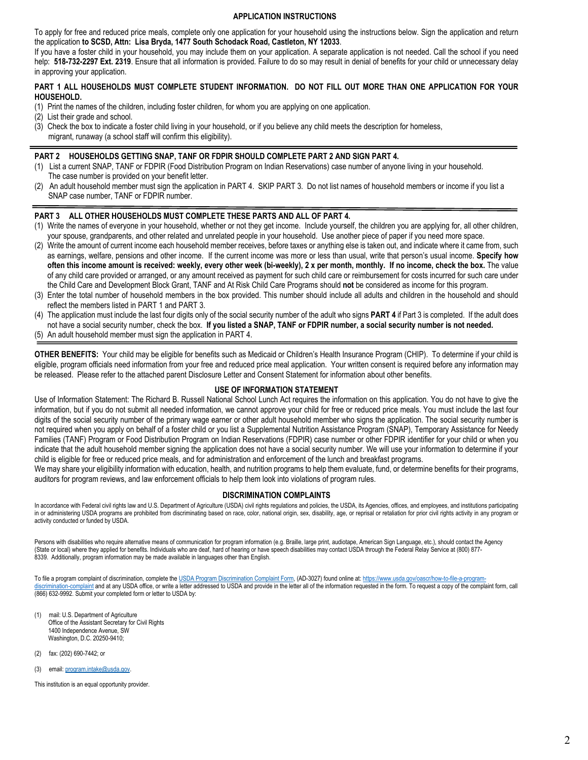#### **APPLICATION INSTRUCTIONS**

To apply for free and reduced price meals, complete only one application for your household using the instructions below. Sign the application and return the application **to SCSD, Attn: Lisa Bryda, 1477 South Schodack Road, Castleton, NY 12033**.

If you have a foster child in your household, you may include them on your application. A separate application is not needed. Call the school if you need help: 518-732-2297 Ext. 2319. Ensure that all information is provided. Failure to do so may result in denial of benefits for your child or unnecessary delay in approving your application.

#### **PART 1 ALL HOUSEHOLDS MUST COMPLETE STUDENT INFORMATION. DO NOT FILL OUT MORE THAN ONE APPLICATION FOR YOUR HOUSEHOLD.**

- (1) Print the names of the children, including foster children, for whom you are applying on one application.
- (2) List their grade and school.
- (3) Check the box to indicate a foster child living in your household, or if you believe any child meets the description for homeless, migrant, runaway (a school staff will confirm this eligibility).

#### **PART 2 HOUSEHOLDS GETTING SNAP, TANF OR FDPIR SHOULD COMPLETE PART 2 AND SIGN PART 4.**

- (1) List a current SNAP, TANF or FDPIR (Food Distribution Program on Indian Reservations) case number of anyone living in your household. The case number is provided on your benefit letter.
- (2) An adult household member must sign the application in PART 4. SKIP PART 3. Do not list names of household members or income if you list a SNAP case number, TANF or FDPIR number.

#### **PART 3 ALL OTHER HOUSEHOLDS MUST COMPLETE THESE PARTS AND ALL OF PART 4.**

- (1) Write the names of everyone in your household, whether or not they get income. Include yourself, the children you are applying for, all other children, your spouse, grandparents, and other related and unrelated people in your household. Use another piece of paper if you need more space.
- (2) Write the amount of current income each household member receives, before taxes or anything else is taken out, and indicate where it came from, such as earnings, welfare, pensions and other income. If the current income was more or less than usual, write that person's usual income. **Specify how often this income amount is received: weekly, every other week (bi-weekly), 2 x per month, monthly. If no income, check the box.** The value of any child care provided or arranged, or any amount received as payment for such child care or reimbursement for costs incurred for such care under the Child Care and Development Block Grant, TANF and At Risk Child Care Programs should **not** be considered as income for this program.
- (3) Enter the total number of household members in the box provided. This number should include all adults and children in the household and should reflect the members listed in PART 1 and PART 3.
- (4) The application must include the last four digits only of the social security number of the adult who signs **PART 4** if Part 3 is completed. If the adult does not have a social security number, check the box. **If you listed a SNAP, TANF or FDPIR number, a social security number is not needed.**
- (5) An adult household member must sign the application in PART 4.

**OTHER BENEFITS:** Your child may be eligible for benefits such as Medicaid or Children's Health Insurance Program (CHIP). To determine if your child is eligible, program officials need information from your free and reduced price meal application. Your written consent is required before any information may be released. Please refer to the attached parent Disclosure Letter and Consent Statement for information about other benefits.

#### **USE OF INFORMATION STATEMENT**

Use of Information Statement: The Richard B. Russell National School Lunch Act requires the information on this application. You do not have to give the information, but if you do not submit all needed information, we cannot approve your child for free or reduced price meals. You must include the last four digits of the social security number of the primary wage earner or other adult household member who signs the application. The social security number is not required when you apply on behalf of a foster child or you list a Supplemental Nutrition Assistance Program (SNAP), Temporary Assistance for Needy Families (TANF) Program or Food Distribution Program on Indian Reservations (FDPIR) case number or other FDPIR identifier for your child or when you indicate that the adult household member signing the application does not have a social security number. We will use your information to determine if your child is eligible for free or reduced price meals, and for administration and enforcement of the lunch and breakfast programs.

We may share your eligibility information with education, health, and nutrition programs to help them evaluate, fund, or determine benefits for their programs, auditors for program reviews, and law enforcement officials to help them look into violations of program rules.

#### **DISCRIMINATION COMPLAINTS**

In accordance with Federal civil rights law and U.S. Department of Agriculture (USDA) civil rights regulations and policies, the USDA, its Agencies, offices, and employees, and institutions participating in or administering USDA programs are prohibited from discriminating based on race, color, national origin, sex, disability, age, or reprisal or retaliation for prior civil rights activity in any program or activity conducted or funded by USDA.

Persons with disabilities who require alternative means of communication for program information (e.g. Braille, large print, audiotape, American Sign Language, etc.), should contact the Agency (State or local) where they applied for benefits. Individuals who are deaf, hard of hearing or have speech disabilities may contact USDA through the Federal Relay Service at (800) 877- 8339. Additionally, program information may be made available in languages other than English.

To file a program complaint of discrimination, complete the [USDA Program Discrimination Complaint Form,](http://www.ocio.usda.gov/sites/default/files/docs/2012/Complain_combined_6_8_12.pdf) (AD-3027) found online at: [https://www.usda.gov/oascr/how-to-file-a-program](https://www.usda.gov/oascr/how-to-file-a-program-discrimination-complaint)[discrimination-complaint](https://www.usda.gov/oascr/how-to-file-a-program-discrimination-complaint) and at any USDA office, or write a letter addressed to USDA and provide in the letter all of the information requested in the form. To request a copy of the complaint form, call (866) 632-9992. Submit your completed form or letter to USDA by:

- mail: U.S. Department of Agriculture Office of the Assistant Secretary for Civil Rights 1400 Independence Avenue, SW Washington, D.C. 20250-9410;
- (2) fax: (202) 690-7442; or
- (3) email: [program.intake@usda.gov.](mailto:program.intake@usda.gov)

This institution is an equal opportunity provider.